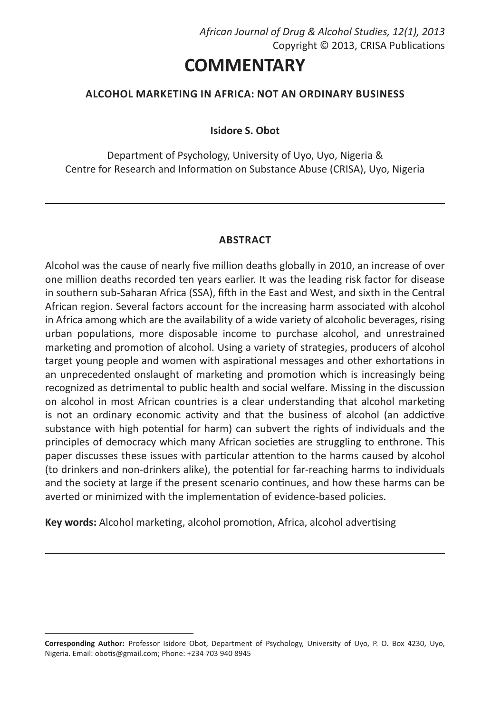# **COMMENTARY**

## **ALCOHOL MARKETING IN AFRICA: NOT AN ORDINARY BUSINESS**

**Isidore S. Obot** 

Department of Psychology, University of Uyo, Uyo, Nigeria & Centre for Research and Information on Substance Abuse (CRISA), Uyo, Nigeria

## **ABSTRACT**

Alcohol was the cause of nearly five million deaths globally in 2010, an increase of over one million deaths recorded ten years earlier. It was the leading risk factor for disease in southern sub-Saharan Africa (SSA), fifth in the East and West, and sixth in the Central African region. Several factors account for the increasing harm associated with alcohol in Africa among which are the availability of a wide variety of alcoholic beverages, rising urban populations, more disposable income to purchase alcohol, and unrestrained marketing and promotion of alcohol. Using a variety of strategies, producers of alcohol target young people and women with aspirational messages and other exhortations in an unprecedented onslaught of marketing and promotion which is increasingly being recognized as detrimental to public health and social welfare. Missing in the discussion on alcohol in most African countries is a clear understanding that alcohol marketing is not an ordinary economic activity and that the business of alcohol (an addictive substance with high potential for harm) can subvert the rights of individuals and the principles of democracy which many African societies are struggling to enthrone. This paper discusses these issues with particular attention to the harms caused by alcohol (to drinkers and non-drinkers alike), the potential for far-reaching harms to individuals and the society at large if the present scenario continues, and how these harms can be averted or minimized with the implementation of evidence-based policies.

**Key words:** Alcohol marketing, alcohol promotion, Africa, alcohol advertising

**Corresponding Author:** Professor Isidore Obot, Department of Psychology, University of Uyo, P. O. Box 4230, Uyo, Nigeria. Email: obotis@gmail.com; Phone: +234 703 940 8945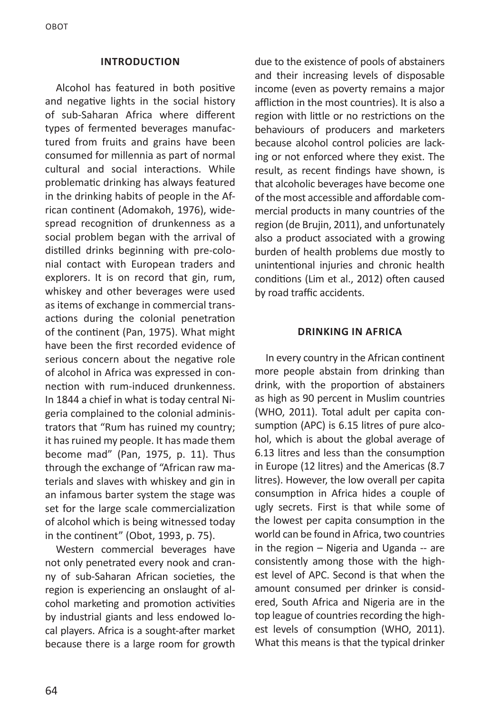#### **INTRODUCTION**

Alcohol has featured in both positive and negative lights in the social history of sub-Saharan Africa where different types of fermented beverages manufactured from fruits and grains have been consumed for millennia as part of normal cultural and social interactions. While problematic drinking has always featured in the drinking habits of people in the African continent (Adomakoh, 1976), widespread recognition of drunkenness as a social problem began with the arrival of distilled drinks beginning with pre-colonial contact with European traders and explorers. It is on record that gin, rum, whiskey and other beverages were used as items of exchange in commercial transactions during the colonial penetration of the continent (Pan, 1975). What might have been the first recorded evidence of serious concern about the negative role of alcohol in Africa was expressed in connection with rum-induced drunkenness. In 1844 a chief in what is today central Nigeria complained to the colonial administrators that "Rum has ruined my country; it has ruined my people. It has made them become mad" (Pan, 1975, p. 11). Thus through the exchange of "African raw materials and slaves with whiskey and gin in an infamous barter system the stage was set for the large scale commercialization of alcohol which is being witnessed today in the continent" (Obot, 1993, p. 75).

Western commercial beverages have not only penetrated every nook and cranny of sub-Saharan African societies, the region is experiencing an onslaught of alcohol marketing and promotion activities by industrial giants and less endowed local players. Africa is a sought-after market because there is a large room for growth

due to the existence of pools of abstainers and their increasing levels of disposable income (even as poverty remains a major affliction in the most countries). It is also a region with little or no restrictions on the behaviours of producers and marketers because alcohol control policies are lacking or not enforced where they exist. The result, as recent findings have shown, is that alcoholic beverages have become one of the most accessible and affordable commercial products in many countries of the region (de Brujin, 2011), and unfortunately also a product associated with a growing burden of health problems due mostly to unintentional injuries and chronic health conditions (Lim et al., 2012) often caused by road traffic accidents.

#### **DRINKING IN AFRICA**

In every country in the African continent more people abstain from drinking than drink, with the proportion of abstainers as high as 90 percent in Muslim countries (WHO, 2011). Total adult per capita consumption (APC) is 6.15 litres of pure alcohol, which is about the global average of 6.13 litres and less than the consumption in Europe (12 litres) and the Americas (8.7 litres). However, the low overall per capita consumption in Africa hides a couple of ugly secrets. First is that while some of the lowest per capita consumption in the world can be found in Africa, two countries in the region – Nigeria and Uganda -- are consistently among those with the highest level of APC. Second is that when the amount consumed per drinker is considered, South Africa and Nigeria are in the top league of countries recording the highest levels of consumption (WHO, 2011). What this means is that the typical drinker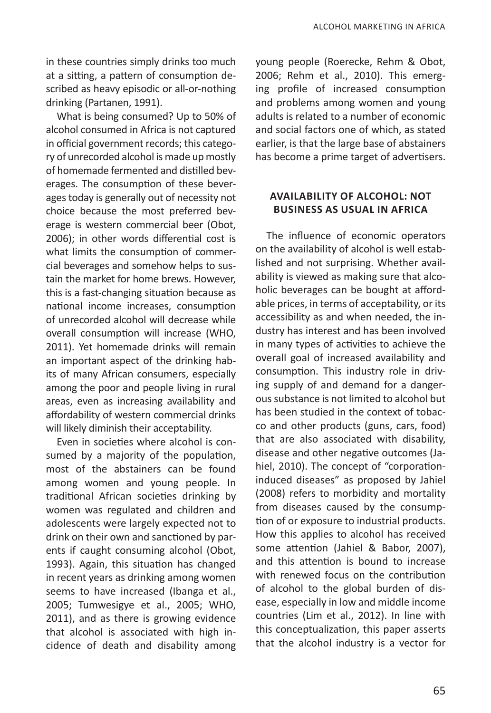in these countries simply drinks too much at a sitting, a pattern of consumption described as heavy episodic or all-or-nothing drinking (Partanen, 1991).

What is being consumed? Up to 50% of alcohol consumed in Africa is not captured in official government records; this category of unrecorded alcohol is made up mostly of homemade fermented and distilled beverages. The consumption of these beverages today is generally out of necessity not choice because the most preferred beverage is western commercial beer (Obot, 2006); in other words differential cost is what limits the consumption of commercial beverages and somehow helps to sustain the market for home brews. However, this is a fast-changing situation because as national income increases, consumption of unrecorded alcohol will decrease while overall consumption will increase (WHO, 2011). Yet homemade drinks will remain an important aspect of the drinking habits of many African consumers, especially among the poor and people living in rural areas, even as increasing availability and affordability of western commercial drinks will likely diminish their acceptability.

Even in societies where alcohol is consumed by a majority of the population, most of the abstainers can be found among women and young people. In traditional African societies drinking by women was regulated and children and adolescents were largely expected not to drink on their own and sanctioned by parents if caught consuming alcohol (Obot, 1993). Again, this situation has changed in recent years as drinking among women seems to have increased (Ibanga et al., 2005; Tumwesigye et al., 2005; WHO, 2011), and as there is growing evidence that alcohol is associated with high incidence of death and disability among young people (Roerecke, Rehm & Obot, 2006; Rehm et al., 2010). This emerging profile of increased consumption and problems among women and young adults is related to a number of economic and social factors one of which, as stated earlier, is that the large base of abstainers has become a prime target of advertisers.

## **AVAILABILITY OF ALCOHOL: NOT BUSINESS AS USUAL IN AFRICA**

The influence of economic operators on the availability of alcohol is well established and not surprising. Whether availability is viewed as making sure that alcoholic beverages can be bought at affordable prices, in terms of acceptability, or its accessibility as and when needed, the industry has interest and has been involved in many types of activities to achieve the overall goal of increased availability and consumption. This industry role in driving supply of and demand for a dangerous substance is not limited to alcohol but has been studied in the context of tobacco and other products (guns, cars, food) that are also associated with disability, disease and other negative outcomes (Jahiel, 2010). The concept of "corporationinduced diseases" as proposed by Jahiel (2008) refers to morbidity and mortality from diseases caused by the consumption of or exposure to industrial products. How this applies to alcohol has received some attention (Jahiel & Babor, 2007), and this attention is bound to increase with renewed focus on the contribution of alcohol to the global burden of disease, especially in low and middle income countries (Lim et al., 2012). In line with this conceptualization, this paper asserts that the alcohol industry is a vector for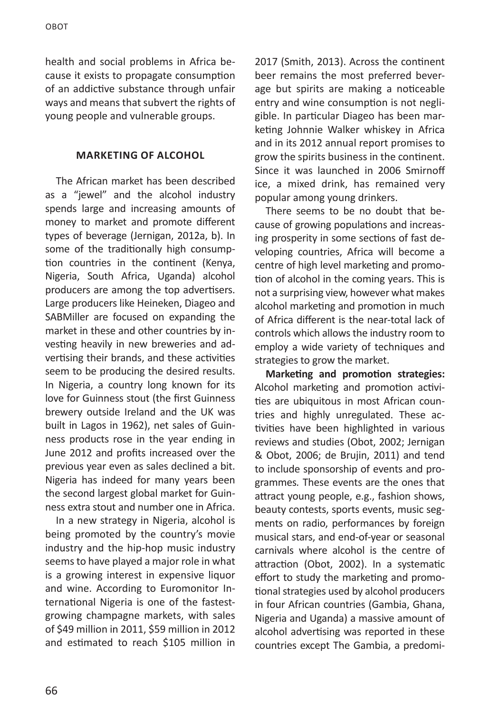health and social problems in Africa because it exists to propagate consumption of an addictive substance through unfair ways and means that subvert the rights of young people and vulnerable groups.

### **MARKETING OF ALCOHOL**

The African market has been described as a "jewel" and the alcohol industry spends large and increasing amounts of money to market and promote different types of beverage (Jernigan, 2012a, b). In some of the traditionally high consumption countries in the continent (Kenya, Nigeria, South Africa, Uganda) alcohol producers are among the top advertisers. Large producers like Heineken, Diageo and SABMiller are focused on expanding the market in these and other countries by investing heavily in new breweries and advertising their brands, and these activities seem to be producing the desired results. In Nigeria, a country long known for its love for Guinness stout (the first Guinness brewery outside Ireland and the UK was built in Lagos in 1962), net sales of Guinness products rose in the year ending in June 2012 and profits increased over the previous year even as sales declined a bit. Nigeria has indeed for many years been the second largest global market for Guinness extra stout and number one in Africa.

In a new strategy in Nigeria, alcohol is being promoted by the country's movie industry and the hip-hop music industry seems to have played a major role in what is a growing interest in expensive liquor and wine. According to Euromonitor International Nigeria is one of the fastestgrowing champagne markets, with sales of \$49 million in 2011, \$59 million in 2012 and estimated to reach \$105 million in

2017 (Smith, 2013). Across the continent beer remains the most preferred beverage but spirits are making a noticeable entry and wine consumption is not negligible. In particular Diageo has been marketing Johnnie Walker whiskey in Africa and in its 2012 annual report promises to grow the spirits business in the continent. Since it was launched in 2006 Smirnoff ice, a mixed drink, has remained very popular among young drinkers.

There seems to be no doubt that because of growing populations and increasing prosperity in some sections of fast developing countries, Africa will become a centre of high level marketing and promotion of alcohol in the coming years. This is not a surprising view, however what makes alcohol marketing and promotion in much of Africa different is the near-total lack of controls which allows the industry room to employ a wide variety of techniques and strategies to grow the market.

**Marketing and promotion strategies:** Alcohol marketing and promotion activities are ubiquitous in most African countries and highly unregulated. These activities have been highlighted in various reviews and studies (Obot, 2002; Jernigan & Obot, 2006; de Brujin, 2011) and tend to include sponsorship of events and programmes*.* These events are the ones that attract young people, e.g., fashion shows, beauty contests, sports events, music segments on radio, performances by foreign musical stars, and end-of-year or seasonal carnivals where alcohol is the centre of attraction (Obot, 2002). In a systematic effort to study the marketing and promotional strategies used by alcohol producers in four African countries (Gambia, Ghana, Nigeria and Uganda) a massive amount of alcohol advertising was reported in these countries except The Gambia, a predomi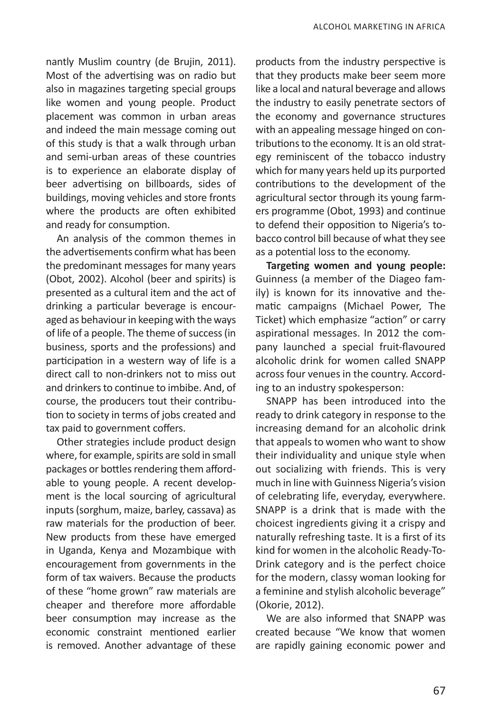nantly Muslim country (de Brujin, 2011). Most of the advertising was on radio but also in magazines targeting special groups like women and young people. Product placement was common in urban areas and indeed the main message coming out of this study is that a walk through urban and semi-urban areas of these countries is to experience an elaborate display of beer advertising on billboards, sides of buildings, moving vehicles and store fronts where the products are often exhibited and ready for consumption.

An analysis of the common themes in the advertisements confirm what has been the predominant messages for many years (Obot, 2002). Alcohol (beer and spirits) is presented as a cultural item and the act of drinking a particular beverage is encouraged as behaviour in keeping with the ways of life of a people. The theme of success (in business, sports and the professions) and participation in a western way of life is a direct call to non-drinkers not to miss out and drinkers to continue to imbibe. And, of course, the producers tout their contribution to society in terms of jobs created and tax paid to government coffers.

Other strategies include product design where, for example, spirits are sold in small packages or bottles rendering them affordable to young people. A recent development is the local sourcing of agricultural inputs (sorghum, maize, barley, cassava) as raw materials for the production of beer. New products from these have emerged in Uganda, Kenya and Mozambique with encouragement from governments in the form of tax waivers. Because the products of these "home grown" raw materials are cheaper and therefore more affordable beer consumption may increase as the economic constraint mentioned earlier is removed. Another advantage of these products from the industry perspective is that they products make beer seem more like a local and natural beverage and allows the industry to easily penetrate sectors of the economy and governance structures with an appealing message hinged on contributions to the economy. It is an old strategy reminiscent of the tobacco industry which for many years held up its purported contributions to the development of the agricultural sector through its young farmers programme (Obot, 1993) and continue to defend their opposition to Nigeria's tobacco control bill because of what they see as a potential loss to the economy.

**Targeting women and young people:** Guinness (a member of the Diageo family) is known for its innovative and thematic campaigns (Michael Power, The Ticket) which emphasize "action" or carry aspirational messages. In 2012 the company launched a special fruit-flavoured alcoholic drink for women called SNAPP across four venues in the country. According to an industry spokesperson:

SNAPP has been introduced into the ready to drink category in response to the increasing demand for an alcoholic drink that appeals to women who want to show their individuality and unique style when out socializing with friends. This is very much in line with Guinness Nigeria's vision of celebrating life, everyday, everywhere. SNAPP is a drink that is made with the choicest ingredients giving it a crispy and naturally refreshing taste. It is a first of its kind for women in the alcoholic Ready-To-Drink category and is the perfect choice for the modern, classy woman looking for a feminine and stylish alcoholic beverage" (Okorie, 2012).

We are also informed that SNAPP was created because "We know that women are rapidly gaining economic power and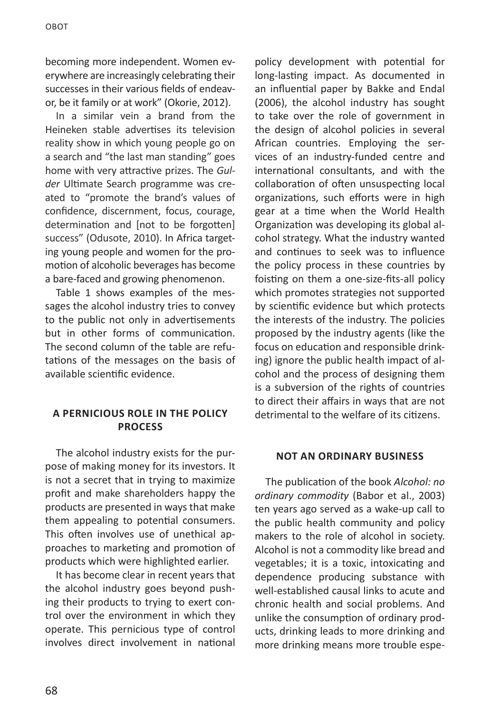becoming more independent. Women everywhere are increasingly celebrating their successes in their various fields of endeavor, be it family or at work" (Okorie, 2012).

In a similar vein a brand from the Heineken stable advertises its television reality show in which young people go on a search and "the last man standing" goes home with very attractive prizes. The *Gulder* Ultimate Search programme was created to "promote the brand's values of confidence, discernment, focus, courage, determination and [not to be forgotten] success" (Odusote, 2010). In Africa targeting young people and women for the promotion of alcoholic beverages has become a bare-faced and growing phenomenon.

Table 1 shows examples of the messages the alcohol industry tries to convey to the public not only in advertisements but in other forms of communication. The second column of the table are refutations of the messages on the basis of available scientific evidence.

## **A PERNICIOUS ROLE IN THE POLICY PROCESS**

The alcohol industry exists for the purpose of making money for its investors. It is not a secret that in trying to maximize profit and make shareholders happy the products are presented in ways that make them appealing to potential consumers. This often involves use of unethical approaches to marketing and promotion of products which were highlighted earlier.

It has become clear in recent years that the alcohol industry goes beyond pushing their products to trying to exert control over the environment in which they operate. This pernicious type of control involves direct involvement in national

policy development with potential for long-lasting impact. As documented in an influential paper by Bakke and Endal (2006), the alcohol industry has sought to take over the role of government in the design of alcohol policies in several African countries. Employing the services of an industry-funded centre and international consultants, and with the collaboration of often unsuspecting local organizations, such efforts were in high gear at a time when the World Health Organization was developing its global alcohol strategy. What the industry wanted and continues to seek was to influence the policy process in these countries by foisting on them a one-size-fits-all policy which promotes strategies not supported by scientific evidence but which protects the interests of the industry. The policies proposed by the industry agents (like the focus on education and responsible drinking) ignore the public health impact of alcohol and the process of designing them is a subversion of the rights of countries to direct their affairs in ways that are not detrimental to the welfare of its citizens.

## **NOT AN ORDINARY BUSINESS**

The publication of the book *Alcohol: no ordinary commodity* (Babor et al., 2003) ten years ago served as a wake-up call to the public health community and policy makers to the role of alcohol in society. Alcohol is not a commodity like bread and vegetables; it is a toxic, intoxicating and dependence producing substance with well-established causal links to acute and chronic health and social problems. And unlike the consumption of ordinary products, drinking leads to more drinking and more drinking means more trouble espe-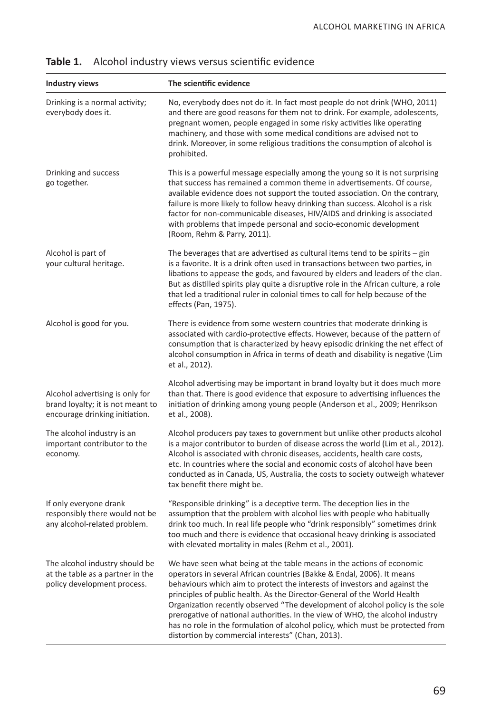| <b>Industry views</b>                                                                                  | The scientific evidence                                                                                                                                                                                                                                                                                                                                                                                                                                                                                                                                                                                            |
|--------------------------------------------------------------------------------------------------------|--------------------------------------------------------------------------------------------------------------------------------------------------------------------------------------------------------------------------------------------------------------------------------------------------------------------------------------------------------------------------------------------------------------------------------------------------------------------------------------------------------------------------------------------------------------------------------------------------------------------|
| Drinking is a normal activity;<br>everybody does it.                                                   | No, everybody does not do it. In fact most people do not drink (WHO, 2011)<br>and there are good reasons for them not to drink. For example, adolescents,<br>pregnant women, people engaged in some risky activities like operating<br>machinery, and those with some medical conditions are advised not to<br>drink. Moreover, in some religious traditions the consumption of alcohol is<br>prohibited.                                                                                                                                                                                                          |
| Drinking and success<br>go together.                                                                   | This is a powerful message especially among the young so it is not surprising<br>that success has remained a common theme in advertisements. Of course,<br>available evidence does not support the touted association. On the contrary,<br>failure is more likely to follow heavy drinking than success. Alcohol is a risk<br>factor for non-communicable diseases, HIV/AIDS and drinking is associated<br>with problems that impede personal and socio-economic development<br>(Room, Rehm & Parry, 2011).                                                                                                        |
| Alcohol is part of<br>your cultural heritage.                                                          | The beverages that are advertised as cultural items tend to be spirits $-$ gin<br>is a favorite. It is a drink often used in transactions between two parties, in<br>libations to appease the gods, and favoured by elders and leaders of the clan.<br>But as distilled spirits play quite a disruptive role in the African culture, a role<br>that led a traditional ruler in colonial times to call for help because of the<br>effects (Pan, 1975).                                                                                                                                                              |
| Alcohol is good for you.                                                                               | There is evidence from some western countries that moderate drinking is<br>associated with cardio-protective effects. However, because of the pattern of<br>consumption that is characterized by heavy episodic drinking the net effect of<br>alcohol consumption in Africa in terms of death and disability is negative (Lim<br>et al., 2012).                                                                                                                                                                                                                                                                    |
| Alcohol advertising is only for<br>brand loyalty; it is not meant to<br>encourage drinking initiation. | Alcohol advertising may be important in brand loyalty but it does much more<br>than that. There is good evidence that exposure to advertising influences the<br>initiation of drinking among young people (Anderson et al., 2009; Henrikson<br>et al., 2008).                                                                                                                                                                                                                                                                                                                                                      |
| The alcohol industry is an<br>important contributor to the<br>economy.                                 | Alcohol producers pay taxes to government but unlike other products alcohol<br>is a major contributor to burden of disease across the world (Lim et al., 2012).<br>Alcohol is associated with chronic diseases, accidents, health care costs,<br>etc. In countries where the social and economic costs of alcohol have been<br>conducted as in Canada, US, Australia, the costs to society outweigh whatever<br>tax benefit there might be.                                                                                                                                                                        |
| If only everyone drank<br>responsibly there would not be<br>any alcohol-related problem.               | "Responsible drinking" is a deceptive term. The deception lies in the<br>assumption that the problem with alcohol lies with people who habitually<br>drink too much. In real life people who "drink responsibly" sometimes drink<br>too much and there is evidence that occasional heavy drinking is associated<br>with elevated mortality in males (Rehm et al., 2001).                                                                                                                                                                                                                                           |
| The alcohol industry should be<br>at the table as a partner in the<br>policy development process.      | We have seen what being at the table means in the actions of economic<br>operators in several African countries (Bakke & Endal, 2006). It means<br>behaviours which aim to protect the interests of investors and against the<br>principles of public health. As the Director-General of the World Health<br>Organization recently observed "The development of alcohol policy is the sole<br>prerogative of national authorities. In the view of WHO, the alcohol industry<br>has no role in the formulation of alcohol policy, which must be protected from<br>distortion by commercial interests" (Chan, 2013). |

## **Table 1.** Alcohol industry views versus scientific evidence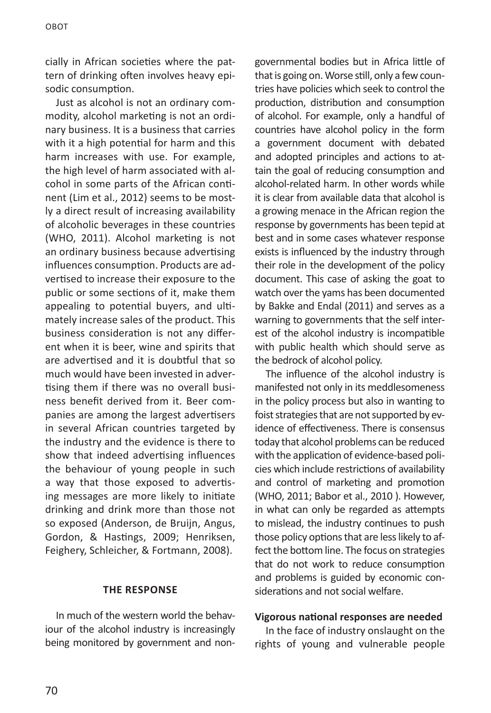cially in African societies where the pattern of drinking often involves heavy episodic consumption.

Just as alcohol is not an ordinary commodity, alcohol marketing is not an ordinary business. It is a business that carries with it a high potential for harm and this harm increases with use. For example, the high level of harm associated with alcohol in some parts of the African continent (Lim et al., 2012) seems to be mostly a direct result of increasing availability of alcoholic beverages in these countries (WHO, 2011). Alcohol marketing is not an ordinary business because advertising influences consumption. Products are advertised to increase their exposure to the public or some sections of it, make them appealing to potential buyers, and ultimately increase sales of the product. This business consideration is not any different when it is beer, wine and spirits that are advertised and it is doubtful that so much would have been invested in advertising them if there was no overall business benefit derived from it. Beer companies are among the largest advertisers in several African countries targeted by the industry and the evidence is there to show that indeed advertising influences the behaviour of young people in such a way that those exposed to advertising messages are more likely to initiate drinking and drink more than those not so exposed (Anderson, de Bruijn, Angus, Gordon, & Hastings, 2009; Henriksen, Feighery, Schleicher, & Fortmann, 2008).

#### **THE RESPONSE**

In much of the western world the behaviour of the alcohol industry is increasingly being monitored by government and nongovernmental bodies but in Africa little of that is going on. Worse still, only a few countries have policies which seek to control the production, distribution and consumption of alcohol. For example, only a handful of countries have alcohol policy in the form a government document with debated and adopted principles and actions to attain the goal of reducing consumption and alcohol-related harm. In other words while it is clear from available data that alcohol is a growing menace in the African region the response by governments has been tepid at best and in some cases whatever response exists is influenced by the industry through their role in the development of the policy document. This case of asking the goat to watch over the yams has been documented by Bakke and Endal (2011) and serves as a warning to governments that the self interest of the alcohol industry is incompatible with public health which should serve as the bedrock of alcohol policy.

The influence of the alcohol industry is manifested not only in its meddlesomeness in the policy process but also in wanting to foist strategies that are not supported by evidence of effectiveness. There is consensus today that alcohol problems can be reduced with the application of evidence-based policies which include restrictions of availability and control of marketing and promotion (WHO, 2011; Babor et al., 2010 ). However, in what can only be regarded as attempts to mislead, the industry continues to push those policy options that are less likely to affect the bottom line. The focus on strategies that do not work to reduce consumption and problems is guided by economic considerations and not social welfare.

### **Vigorous national responses are needed**

In the face of industry onslaught on the rights of young and vulnerable people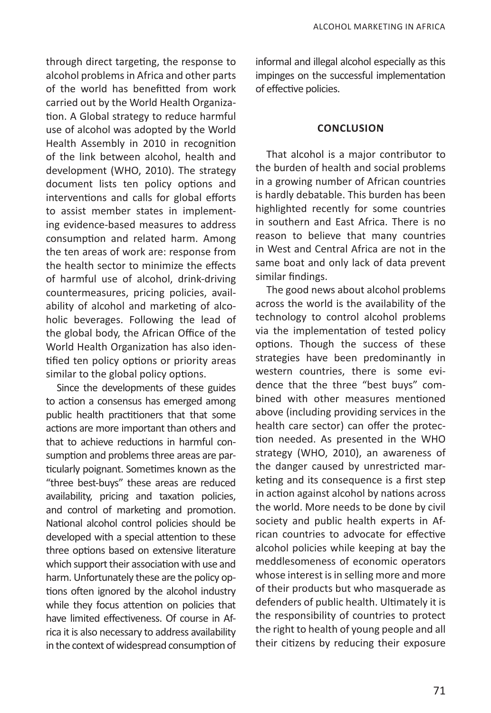through direct targeting, the response to alcohol problems in Africa and other parts of the world has benefitted from work carried out by the World Health Organization. A Global strategy to reduce harmful use of alcohol was adopted by the World Health Assembly in 2010 in recognition of the link between alcohol, health and development (WHO, 2010). The strategy document lists ten policy options and interventions and calls for global efforts to assist member states in implementing evidence-based measures to address consumption and related harm. Among the ten areas of work are: response from the health sector to minimize the effects of harmful use of alcohol, drink-driving countermeasures, pricing policies, availability of alcohol and marketing of alcoholic beverages. Following the lead of the global body, the African Office of the World Health Organization has also identified ten policy options or priority areas similar to the global policy options.

Since the developments of these guides to action a consensus has emerged among public health practitioners that that some actions are more important than others and that to achieve reductions in harmful consumption and problems three areas are particularly poignant. Sometimes known as the "three best-buys" these areas are reduced availability, pricing and taxation policies, and control of marketing and promotion. National alcohol control policies should be developed with a special attention to these three options based on extensive literature which support their association with use and harm. Unfortunately these are the policy options often ignored by the alcohol industry while they focus attention on policies that have limited effectiveness. Of course in Africa it is also necessary to address availability in the context of widespread consumption of informal and illegal alcohol especially as this impinges on the successful implementation of effective policies.

#### **CONCLUSION**

That alcohol is a major contributor to the burden of health and social problems in a growing number of African countries is hardly debatable. This burden has been highlighted recently for some countries in southern and East Africa. There is no reason to believe that many countries in West and Central Africa are not in the same boat and only lack of data prevent similar findings.

The good news about alcohol problems across the world is the availability of the technology to control alcohol problems via the implementation of tested policy options. Though the success of these strategies have been predominantly in western countries, there is some evidence that the three "best buys" combined with other measures mentioned above (including providing services in the health care sector) can offer the protection needed. As presented in the WHO strategy (WHO, 2010), an awareness of the danger caused by unrestricted marketing and its consequence is a first step in action against alcohol by nations across the world. More needs to be done by civil society and public health experts in African countries to advocate for effective alcohol policies while keeping at bay the meddlesomeness of economic operators whose interest is in selling more and more of their products but who masquerade as defenders of public health. Ultimately it is the responsibility of countries to protect the right to health of young people and all their citizens by reducing their exposure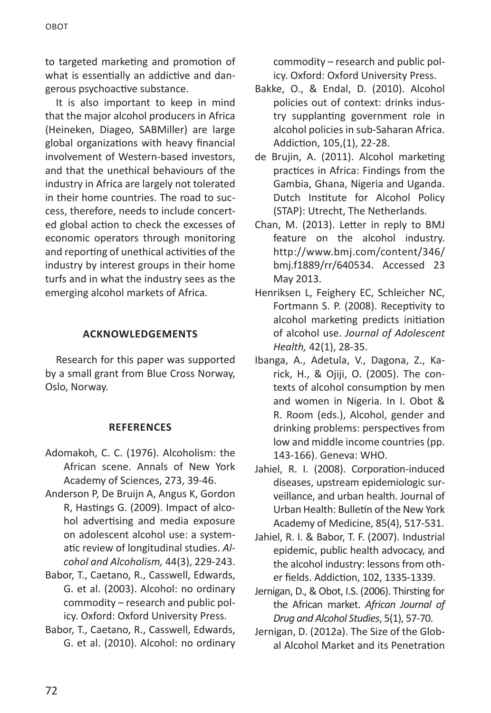to targeted marketing and promotion of what is essentially an addictive and dangerous psychoactive substance.

It is also important to keep in mind that the major alcohol producers in Africa (Heineken, Diageo, SABMiller) are large global organizations with heavy financial involvement of Western-based investors, and that the unethical behaviours of the industry in Africa are largely not tolerated in their home countries. The road to success, therefore, needs to include concerted global action to check the excesses of economic operators through monitoring and reporting of unethical activities of the industry by interest groups in their home turfs and in what the industry sees as the emerging alcohol markets of Africa.

## **ACKNOWLEDGEMENTS**

Research for this paper was supported by a small grant from Blue Cross Norway, Oslo, Norway.

#### **REFERENCES**

- Adomakoh, C. C. (1976). Alcoholism: the African scene. Annals of New York Academy of Sciences, 273, 39-46.
- Anderson P, De Bruijn A, Angus K, Gordon R, Hastings G. (2009). Impact of alcohol advertising and media exposure on adolescent alcohol use: a systematic review of longitudinal studies. *Alcohol and Alcoholism,* 44(3), 229-243.
- Babor, T., Caetano, R., Casswell, Edwards, G. et al. (2003). Alcohol: no ordinary commodity – research and public policy. Oxford: Oxford University Press.
- Babor, T., Caetano, R., Casswell, Edwards, G. et al. (2010). Alcohol: no ordinary

commodity – research and public policy. Oxford: Oxford University Press.

- Bakke, O., & Endal, D. (2010). Alcohol policies out of context: drinks industry supplanting government role in alcohol policies in sub-Saharan Africa. Addiction, 105,(1), 22-28.
- de Brujin, A. (2011). Alcohol marketing practices in Africa: Findings from the Gambia, Ghana, Nigeria and Uganda. Dutch Institute for Alcohol Policy (STAP): Utrecht, The Netherlands.
- Chan, M. (2013). Letter in reply to BMJ feature on the alcohol industry. http://www.bmj.com/content/346/ bmj.f1889/rr/640534. Accessed 23 May 2013.
- Henriksen L, Feighery EC, Schleicher NC, Fortmann S. P. (2008). Receptivity to alcohol marketing predicts initiation of alcohol use. *Journal of Adolescent Health,* 42(1), 28-35.
- Ibanga, A., Adetula, V., Dagona, Z., Karick, H., & Ojiji, O. (2005). The contexts of alcohol consumption by men and women in Nigeria. In I. Obot & R. Room (eds.), Alcohol, gender and drinking problems: perspectives from low and middle income countries (pp. 143-166). Geneva: WHO.
- Jahiel, R. I. (2008). Corporation-induced diseases, upstream epidemiologic surveillance, and urban health. Journal of Urban Health: Bulletin of the New York Academy of Medicine, 85(4), 517-531.
- Jahiel, R. I. & Babor, T. F. (2007). Industrial epidemic, public health advocacy, and the alcohol industry: lessons from other fields. Addiction, 102, 1335-1339.
- Jernigan, D., & Obot, I.S. (2006). Thirsting for the African market. *African Journal of Drug and Alcohol Studies*, 5(1), 57-70.
- Jernigan, D. (2012a). The Size of the Global Alcohol Market and its Penetration